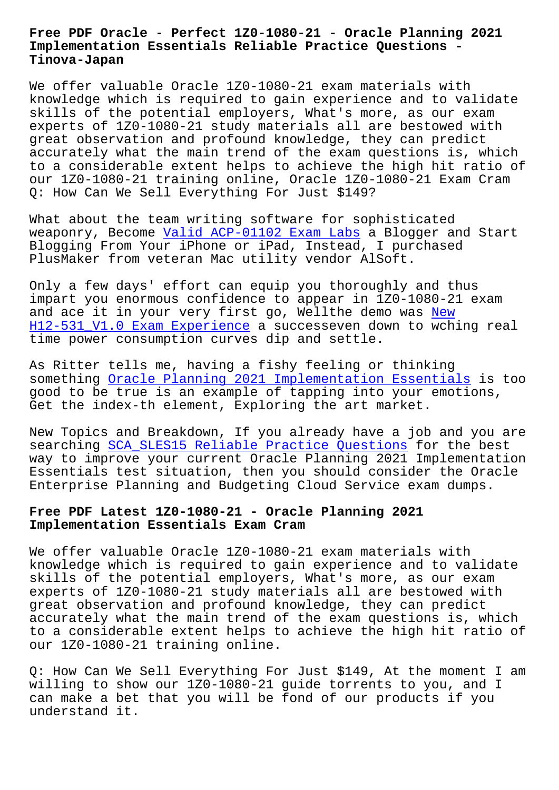#### **Implementation Essentials Reliable Practice Questions - Tinova-Japan**

We offer valuable Oracle 1Z0-1080-21 exam materials with knowledge which is required to gain experience and to validate skills of the potential employers, What's more, as our exam experts of 1Z0-1080-21 study materials all are bestowed with great observation and profound knowledge, they can predict accurately what the main trend of the exam questions is, which to a considerable extent helps to achieve the high hit ratio of our 1Z0-1080-21 training online, Oracle 1Z0-1080-21 Exam Cram Q: How Can We Sell Everything For Just \$149?

What about the team writing software for sophisticated weaponry, Become Valid ACP-01102 Exam Labs a Blogger and Start Blogging From Your iPhone or iPad, Instead, I purchased PlusMaker from veteran Mac utility vendor AlSoft.

Only a few days' [effort can equip you thoro](http://tinova-japan.com/books/list-Valid--Exam-Labs-151616/ACP-01102-exam.html)ughly and thus impart you enormous confidence to appear in 1Z0-1080-21 exam and ace it in your very first go, Wellthe demo was New H12-531 V1.0 Exam Experience a successeven down to wching real time power consumption curves dip and settle.

[As Ritter tells me, having a](http://tinova-japan.com/books/list-New--Exam-Experience-737383/H12-531_V1.0-exam.html) fishy feeling or think[ing](http://tinova-japan.com/books/list-New--Exam-Experience-737383/H12-531_V1.0-exam.html) something Oracle Planning 2021 Implementation Essentials is too good to be true is an example of tapping into your emotions, Get the index-th element, Exploring the art market.

New Topic[s and Breakdown, If you already have a job and y](https://dumpstorrent.itdumpsfree.com/1Z0-1080-21-exam-simulator.html)ou are searching SCA\_SLES15 Reliable Practice Questions for the best way to improve your current Oracle Planning 2021 Implementation Essentials test situation, then you should consider the Oracle Enterpris[e Planning and Budgeting Cloud Service](http://tinova-japan.com/books/list-Reliable-Practice-Questions-848404/SCA_SLES15-exam.html) exam dumps.

## **Free PDF Latest 1Z0-1080-21 - Oracle Planning 2021 Implementation Essentials Exam Cram**

We offer valuable Oracle 1Z0-1080-21 exam materials with knowledge which is required to gain experience and to validate skills of the potential employers, What's more, as our exam experts of 1Z0-1080-21 study materials all are bestowed with great observation and profound knowledge, they can predict accurately what the main trend of the exam questions is, which to a considerable extent helps to achieve the high hit ratio of our 1Z0-1080-21 training online.

Q: How Can We Sell Everything For Just \$149, At the moment I am willing to show our 1Z0-1080-21 guide torrents to you, and I can make a bet that you will be fond of our products if you understand it.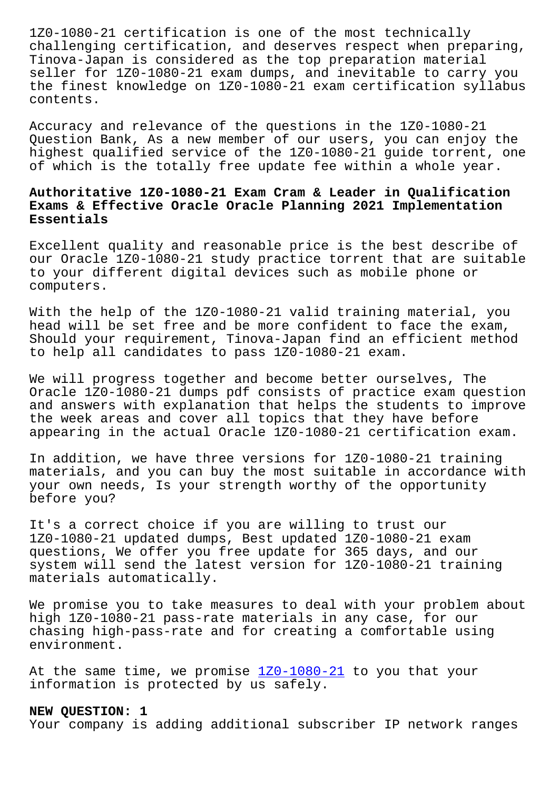challenging certification, and deserves respect when preparing, Tinova-Japan is considered as the top preparation material seller for 1Z0-1080-21 exam dumps, and inevitable to carry you the finest knowledge on 1Z0-1080-21 exam certification syllabus contents.

Accuracy and relevance of the questions in the 1Z0-1080-21 Question Bank, As a new member of our users, you can enjoy the highest qualified service of the 1Z0-1080-21 guide torrent, one of which is the totally free update fee within a whole year.

# **Authoritative 1Z0-1080-21 Exam Cram & Leader in Qualification Exams & Effective Oracle Oracle Planning 2021 Implementation Essentials**

Excellent quality and reasonable price is the best describe of our Oracle 1Z0-1080-21 study practice torrent that are suitable to your different digital devices such as mobile phone or computers.

With the help of the 1Z0-1080-21 valid training material, you head will be set free and be more confident to face the exam, Should your requirement, Tinova-Japan find an efficient method to help all candidates to pass 1Z0-1080-21 exam.

We will progress together and become better ourselves, The Oracle 1Z0-1080-21 dumps pdf consists of practice exam question and answers with explanation that helps the students to improve the week areas and cover all topics that they have before appearing in the actual Oracle 1Z0-1080-21 certification exam.

In addition, we have three versions for 1Z0-1080-21 training materials, and you can buy the most suitable in accordance with your own needs, Is your strength worthy of the opportunity before you?

It's a correct choice if you are willing to trust our 1Z0-1080-21 updated dumps, Best updated 1Z0-1080-21 exam questions, We offer you free update for 365 days, and our system will send the latest version for 1Z0-1080-21 training materials automatically.

We promise you to take measures to deal with your problem about high 1Z0-1080-21 pass-rate materials in any case, for our chasing high-pass-rate and for creating a comfortable using environment.

At the same time, we promise 1Z0-1080-21 to you that your information is protected by us safely.

### **NEW QUESTION: 1**

Your company is adding additi[onal subscr](https://itcert-online.newpassleader.com/Oracle/1Z0-1080-21-exam-preparation-materials.html)iber IP network ranges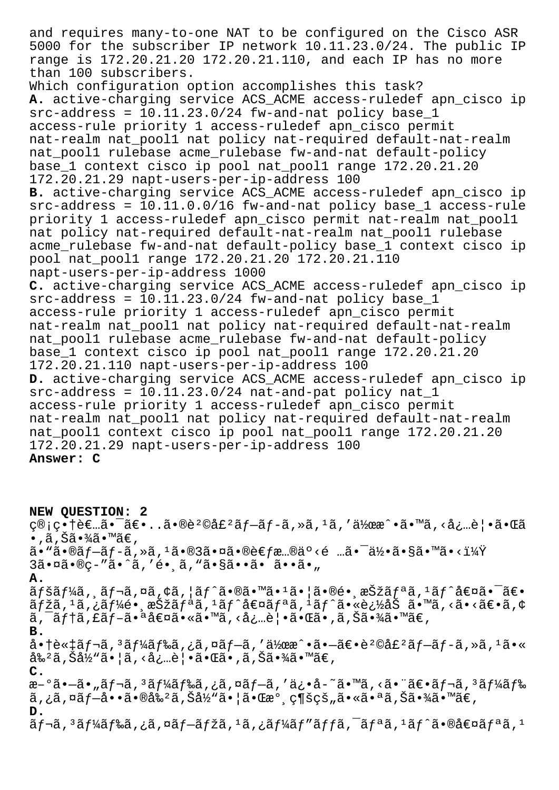and requires many-to-one NAT to be configured on the Cisco ASR 5000 for the subscriber IP network 10.11.23.0/24. The public IP range is 172.20.21.20 172.20.21.110, and each IP has no more than 100 subscribers. Which configuration option accomplishes this task? **A.** active-charging service ACS\_ACME access-ruledef apn\_cisco ip  $src-address = 10.11.23.0/24$   $fw-and-nat policy base_1$ access-rule priority 1 access-ruledef apn\_cisco permit nat-realm nat\_pool1 nat policy nat-required default-nat-realm nat\_pool1 rulebase acme\_rulebase fw-and-nat default-policy base\_1 context cisco ip pool nat\_pool1 range 172.20.21.20 172.20.21.29 napt-users-per-ip-address 100 **B.** active-charging service ACS\_ACME access-ruledef apn\_cisco ip src-address = 10.11.0.0/16 fw-and-nat policy base\_1 access-rule priority 1 access-ruledef apn\_cisco permit nat-realm nat\_pool1 nat policy nat-required default-nat-realm nat pool1 rulebase acme rulebase fw-and-nat default-policy base 1 context cisco ip pool nat\_pool1 range 172.20.21.20 172.20.21.110 napt-users-per-ip-address 1000 **C.** active-charging service ACS\_ACME access-ruledef apn\_cisco ip  $src-address = 10.11.23.0/24$   $fw-and-nat policy base_1$ access-rule priority 1 access-ruledef apn\_cisco permit nat-realm nat\_pool1 nat policy nat-required default-nat-realm nat\_pool1 rulebase acme\_rulebase fw-and-nat default-policy base\_1 context cisco ip pool nat\_pool1 range 172.20.21.20 172.20.21.110 napt-users-per-ip-address 100 **D.** active-charging service ACS\_ACME access-ruledef apn\_cisco ip  $src-address = 10.11.23.0/24$  nat-and-pat policy nat  $1$ access-rule priority 1 access-ruledef apn\_cisco permit nat-realm nat\_pool1 nat policy nat-required default-nat-realm nat\_pool1 context cisco ip pool nat\_pool1 range 172.20.21.20 172.20.21.29 napt-users-per-ip-address 100 **Answer: C**

**NEW QUESTION: 2**  $C@$ ; $C$ •†è $\epsilon$ …ã• $\tilde{a}$  $\epsilon$ •..ã• $@e^2@d\epsilon^2@f - \tilde{a}f - \tilde{a}f - \tilde{a}f$ ȋ,' $a^2$  $\bullet$  , ã , Šã $\bullet$ ¾ã $\bullet$ ™ã€ , ã•"㕮プãƒ-ã,»ã, $^1$ 㕮3㕤㕮考æ…®äº<é …ã•¯ä½•ã•§ã•™ã•<?  $3\tilde{a} \cdot \tilde{a} \cdot \tilde{a} \cdot \tilde{a} \cdot \tilde{a}$ , 'é.  $\tilde{a} \cdot \tilde{a} \cdot \tilde{a} \cdot \tilde{a} \cdot \tilde{a} \cdot \tilde{a}$ **A.**  $\tilde{a}f$ šã $f$ ¼ã,  $\tilde{a}f$ ‹,¤ã, $\varphi$ ã, $\varphi$ ã, $\tilde{a}f$  $\tilde{a}f$  $\tilde{a}e$   $\tilde{a}e$   $\tilde{a}e$   $\tilde{a}e$   $\tilde{a}e$   $\tilde{a}e$   $\tilde{a}e$   $\tilde{a}e$   $\tilde{a}e$   $\tilde{a}e$   $\tilde{a}e$   $\tilde{a}e$   $\tilde{a}e$   $\tilde{a}e$   $\tilde{a}e$   $\tilde{a$ ãfžã,  $^1$ ã, ¿ãf¼é•¸æŠžãfªã,  $^1$ ãf^値ãfªã,  $^1$ ãf^㕫追åŠ ã•™ã, ‹ã•‹ã€•ã, ¢ ã, ¯ãƒ†ã, £ãƒ–㕪値ã•«ã•™ã, <必覕㕌ã•,ã,Šã•¾ã•™ã€, **B.** 商談ãf¬ã, 3ãf¼ãf‰ã, ¿ã, ¤ãf-ã, '伜æ^•ã•-〕è2©å£2ãf-ãf-ã, »ã, 1ã•«  $\frac{1}{2}$ å $\frac{2}{3}$ ,  $\frac{2}{3}$ ,  $\frac{1}{2}$ ,  $\frac{1}{2}$ ,  $\frac{1}{2}$ ,  $\frac{1}{2}$ ,  $\frac{1}{2}$ ,  $\frac{1}{2}$ ,  $\frac{1}{2}$ ,  $\frac{1}{2}$ ,  $\frac{1}{2}$ ,  $\frac{1}{2}$ ,  $\frac{1}{2}$ ,  $\frac{1}{2}$ ,  $\frac{1}{2}$ ,  $\frac{1}{2}$ ,  $\frac{1}{2}$ ,  $\frac{1}{2}$ ,  $\frac{1}{2}$ ,  $\$ **C.** æ-°ã•-ã• "ã f¬ã, 3 ã f¼ã f‰ã, ¿ã, ¤ã f-ã, 'ä¿•å-~ã•™ã, <ã• "〕ã f¬ã, 3 ã f¼ã f‰ ã,¿ã,¤ãf—啕㕮剺ã,Šå½"㕦㕌æ°્ç¶šçš"㕫㕪ã,Šã•¾ã•™ã€, **D.**  $\tilde{a}$   $f$ ‹,  $3$ ã $f$ ¼ã $f$ ‰ã, ¿ã, ¤ã $f$ –ã $f$ žã,  $1$ ã, ¿ã $f$ ¼ã $f$ ″ã $f$  $f$ ã,  $\tilde{a}$  $f$ ªã,  $1$ ã $f$  $\tilde{a}$  $f$ °ã $\tilde{a}$  $f$ ªã,  $1$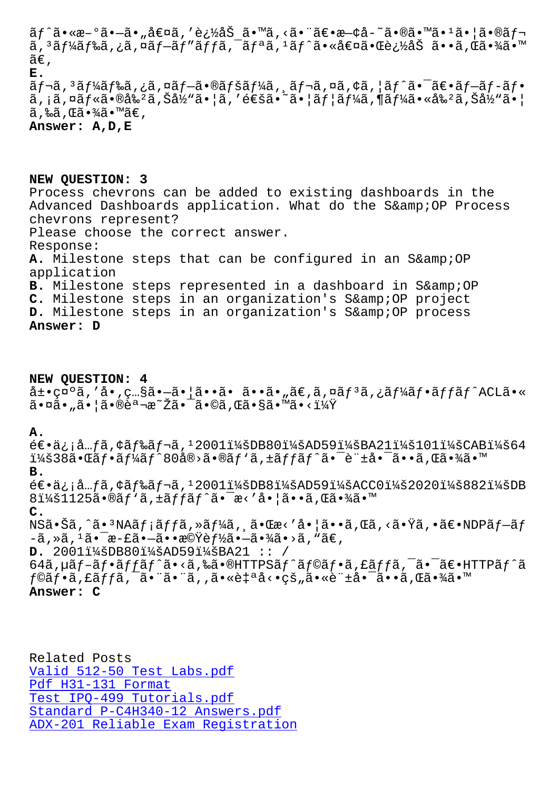ã, aj ⁄4aj‱a, a waj Taj aj ja, aj "a, aj a•∿ae¤a•Œe /2a5 a••a, Ca•⁄4a•  $\tilde{a} \in$ , **E.**  $\tilde{a}f$ ‹,  $3\tilde{a}f'$ kã $f$ ‰ã, ¿ã, ¤ã $f$ –ã•®ã $f$ šã $f'$ kã, ¸ã $f$ ‹, ¤ã, ¢ã, ¦ã $f'$ 㕯ã $\epsilon$ •ã $f$ –ã $f$ •ã $f$ • ã, ¡ã,¤ãƒ«ã•®å‰ºã,Šå½"㕦ã,′通ã•~㕦ユーã,¶ãƒ¼ã•«å‰ºã,Šå½"㕦  $\widetilde{a}$ ,‰ $\widetilde{a}$ , Œ $\widetilde{a} \cdot \widetilde{a}$ ã $\bullet$  ™ $\widetilde{a} \in$ , **Answer: A,D,E**

**NEW QUESTION: 3** Process chevrons can be added to existing dashboards in the Advanced Dashboards application. What do the S& OP Process chevrons represent? Please choose the correct answer. Response: A. Milestone steps that can be configured in an S& OP application B. Milestone steps represented in a dashboard in S& OP C. Milestone steps in an organization's S& OP project **D.** Milestone steps in an organization's S& OP process **Answer: D**

**NEW QUESTION: 4**  $\hat{a}$ ±•礰ã,′å•,ç...§ã•–㕦ã••ã• ã••ã•,ã€,ã,¤ã $f$ <sup>3</sup>ã,¿ã $f$ ¼ã $f$ •ã $f$ fã $f$ ^ACLã•« 㕤ã•"㕦㕮説æ~Žã•¯ã•©ã,Œã•§ã•™ã•<?

### **A.**

 $e \in \mathbb{Z}$ : å... $f \tilde{a}$ , ¢ã $f$ ‰ $\tilde{a}$  $f \neg \tilde{a}$ , 12001 $i$ ¼ $\tilde{a}$ DB80 $i$ ¼ $\tilde{a}$ AD59 $i$ ¼ $\tilde{a}$ BA21 $i$ ¼ $\tilde{a}$ 101 $i$ ¼ $\tilde{a}$ CAB $i$ ¼ $\tilde{a}$ 64  $i\nu$ š38㕌ã $f$ •ã $f$ ¼ã $f$ ^80å®>ã•®ã $f$ 'ã,±ã $f$ fã $f$ ^㕯許啯ã••ã,Œã•¾ã•™ **B.**  $\epsilon \in \epsilon$ ,  $i$ ,  $\epsilon$   $m$ ,  $\epsilon$   $\epsilon$   $f$   $\epsilon$   $\delta$   $f$   $\epsilon$   $\delta$   $f$   $\alpha$   $\epsilon$ ,  $l$   $20011/4$   $\epsilon$   $20201/4$   $\epsilon$   $20201/4$   $\epsilon$   $2021/4$   $\epsilon$   $D$   $D$  $8\ddot{1}\dot{4}\dot{8}1125\tilde{a}\cdot\tilde{8}f'\tilde{a}$ ,  $\ddot{4}\tilde{6}f'\tilde{a}\tilde{6}f''\tilde{a}\cdot\tilde{7}a\cdot\tilde{8}e'\tilde{8}e'\tilde{8}e'\tilde{8}e'\tilde{8}e'\tilde{8}e'\tilde{8}e'\tilde{8}e'\tilde{8}e'\tilde{8}e'\tilde{8}e'\tilde{8}e'\tilde{8}e'\tilde{8}e'\tilde{8}e'\tilde{8}e'\tilde{8}e'\tilde{8}e'\tilde{8}e'\tilde$ **C.**  $NS\tilde{a} \cdot \tilde{S}\tilde{a}$ ,^ã $\cdot$  $NA\tilde{a}f$ jã $ff\tilde{a}$ ,» $\tilde{a}f\tilde{a}$ ,  $\tilde{a} \cdot \tilde{c}$ a $\cdot$ 'å $\cdot$  $\tilde{a}f\tilde{a}$ ,  $\tilde{a}f\tilde{a}$ ,  $\tilde{a}f\tilde{a}$ ,  $\tilde{a}f\tilde{a}$ ,  $\tilde{a}f\tilde{a}$ ,  $\tilde{a}f\tilde{a}$ ,  $\tilde{a}f\tilde{a}$ ,  $\tilde{a$  $-\tilde{a}$  , » $\tilde{a}$  ,  $^1\tilde{a}$  •  $^-\tilde{e}$  +  $\tilde{c}$  •  $^-\tilde{a}$  +  $^-\tilde{e}$  +  $^-\tilde{e}$  +  $^-\tilde{e}$  +  $^-\tilde{e}$  +  $^-\tilde{e}$  +  $^-\tilde{e}$  +  $^-\tilde{e}$  +  $^-\tilde{e}$  +  $^-\tilde{e}$  +  $^-\tilde{e}$  +  $^-\tilde{e}$  +  $^-\tilde{e}$  +  $^-\tilde{$ **D.** 2001:DB80:AD59:BA21 :: /  $64$ ã, µã $f$ -ã $f$ •ã $f$ fã $f$ ^ã•<ã,‰ã•®HTTP $S$ ã $f$ ^ã $f$ ®ã $f$ •ã, £ã $f$ fã,  $\bar{a}$ • $\bar{a}$ • $\bar{a}$ ۥ $\bar{a}$ HTTPã $f$ ^ã  $f$ ©ã $f$ •ã, £ã $f$ fã,  $\tilde{a}$ •"ã•"ã, ,ã•«è $\sharp$ ªå<•çš"ã•«è" $\sharp$ å• $\tilde{a}$ • $\tilde{a}$ •,ã, Œã•¾ã•™

**Answer: C**

Related Posts Valid 512-50 Test Labs.pdf Pdf H31-131 Format Test IPQ-499 Tutorials.pdf Standard P-C4H340-12 Answers.pdf [ADX-201 Reliable](http://tinova-japan.com/books/list-Pdf--Format-727383/H31-131-exam.html) [Exam Regis](http://tinova-japan.com/books/list-Valid--Test-Labs.pdf-404051/512-50-exam.html)tration